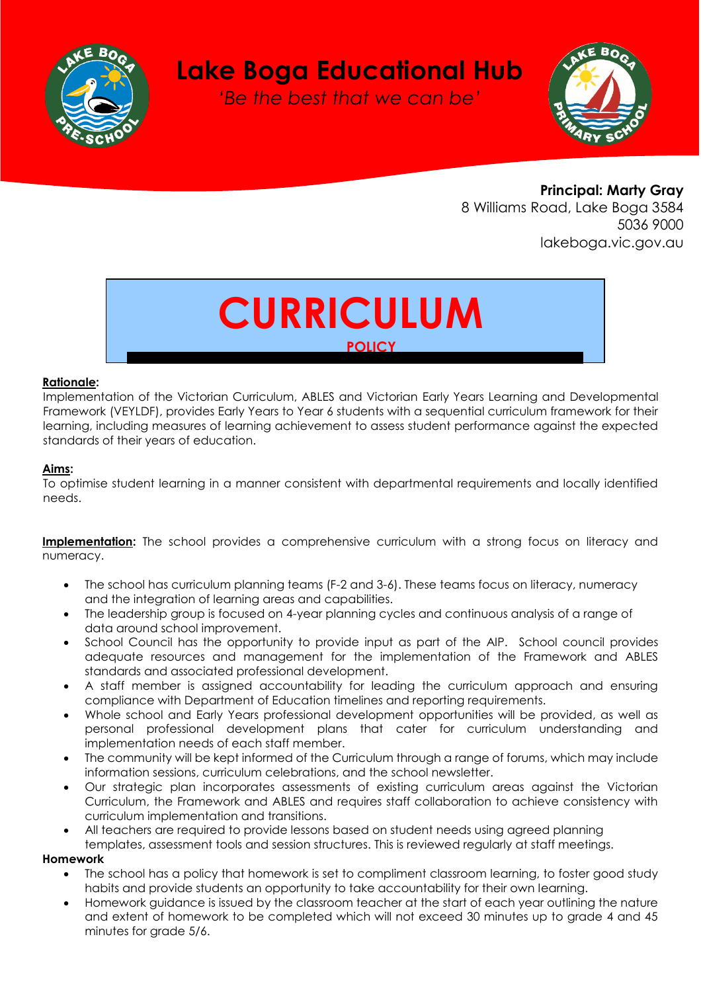

## **Lake Boga Educational Hub**

*'Be the best that we can be'*



**Principal: Marty Gray** 8 Williams Road, Lake Boga 3584 5036 9000 lakeboga.vic.gov.au

# **CURRICULUM POLICY**

#### **Rationale:**

Implementation of the Victorian Curriculum, ABLES and Victorian Early Years Learning and Developmental Framework (VEYLDF), provides Early Years to Year 6 students with a sequential curriculum framework for their learning, including measures of learning achievement to assess student performance against the expected standards of their years of education.

#### **Aims:**

To optimise student learning in a manner consistent with departmental requirements and locally identified needs.

**Implementation:** The school provides a comprehensive curriculum with a strong focus on literacy and numeracy.

- The school has curriculum planning teams (F-2 and 3-6). These teams focus on literacy, numeracy and the integration of learning areas and capabilities.
- The leadership group is focused on 4-year planning cycles and continuous analysis of a range of data around school improvement.
- School Council has the opportunity to provide input as part of the AIP. School council provides adequate resources and management for the implementation of the Framework and ABLES standards and associated professional development.
- A staff member is assigned accountability for leading the curriculum approach and ensuring compliance with Department of Education timelines and reporting requirements.
- Whole school and Early Years professional development opportunities will be provided, as well as personal professional development plans that cater for curriculum understanding and implementation needs of each staff member.
- The community will be kept informed of the Curriculum through a range of forums, which may include information sessions, curriculum celebrations, and the school newsletter.
- Our strategic plan incorporates assessments of existing curriculum areas against the Victorian Curriculum, the Framework and ABLES and requires staff collaboration to achieve consistency with curriculum implementation and transitions.
- All teachers are required to provide lessons based on student needs using agreed planning templates, assessment tools and session structures. This is reviewed regularly at staff meetings.

#### **Homework**

- The school has a policy that homework is set to compliment classroom learning, to foster good study habits and provide students an opportunity to take accountability for their own learning.
- Homework guidance is issued by the classroom teacher at the start of each year outlining the nature and extent of homework to be completed which will not exceed 30 minutes up to grade 4 and 45 minutes for grade 5/6.